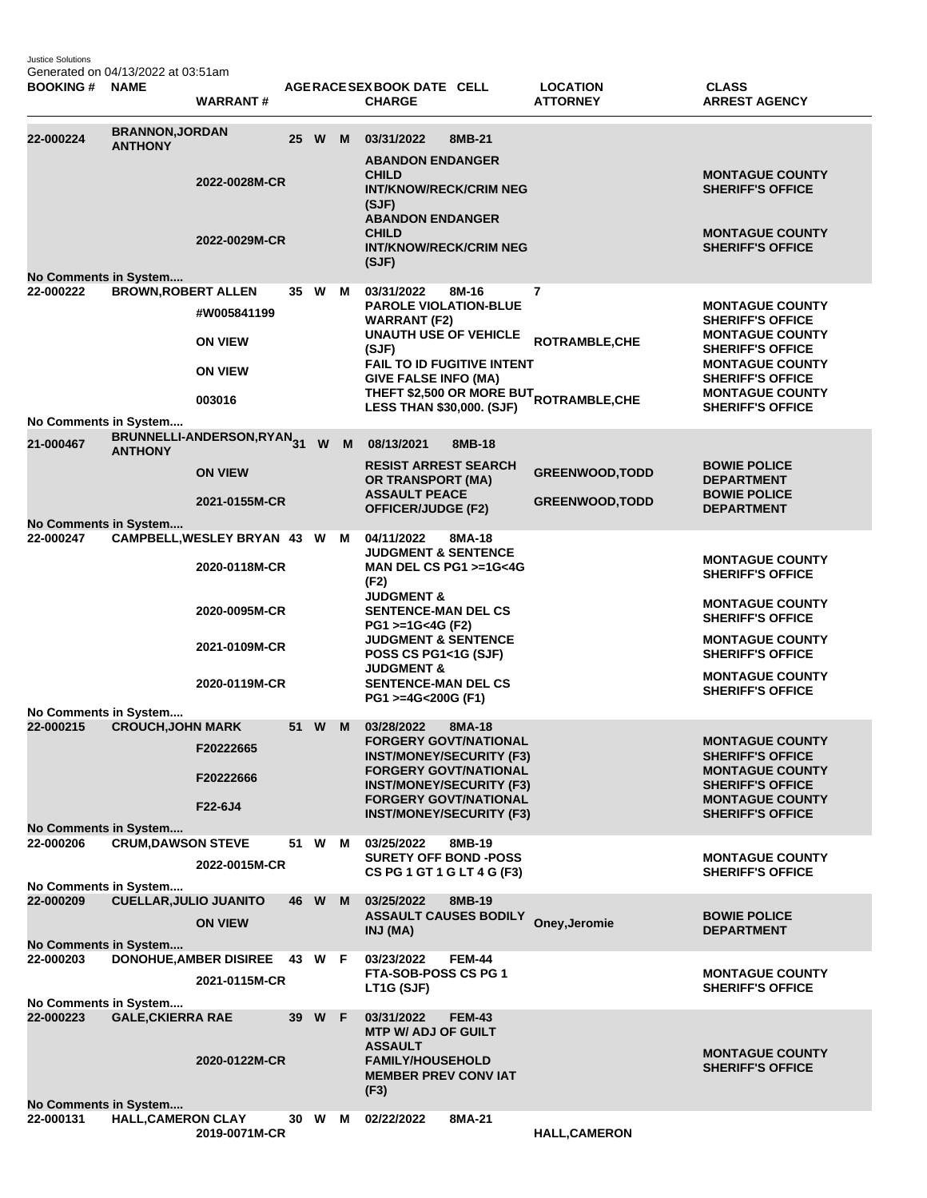Justice Solutions Generated on 04/13/2022 at 03:51am

| <b>BOOKING #</b>                                            | <b>NAME</b>                              | <b>WARRANT#</b>                                                                                 |      |        |   | AGERACE SEX BOOK DATE CELL<br><b>CHARGE</b>                                                                                                                                                                                                                                                      |                                                                                                                                                                                                                 | <b>LOCATION</b><br><b>ATTORNEY</b>                                           | <b>CLASS</b><br><b>ARREST AGENCY</b>                                                                                                                                                                             |
|-------------------------------------------------------------|------------------------------------------|-------------------------------------------------------------------------------------------------|------|--------|---|--------------------------------------------------------------------------------------------------------------------------------------------------------------------------------------------------------------------------------------------------------------------------------------------------|-----------------------------------------------------------------------------------------------------------------------------------------------------------------------------------------------------------------|------------------------------------------------------------------------------|------------------------------------------------------------------------------------------------------------------------------------------------------------------------------------------------------------------|
| 22-000224<br>No Comments in System                          | <b>BRANNON, JORDAN</b><br><b>ANTHONY</b> | 2022-0028M-CR<br>2022-0029M-CR                                                                  |      | 25 W   | M | 03/31/2022<br><b>ABANDON ENDANGER</b><br><b>CHILD</b><br>(SJF)<br><b>ABANDON ENDANGER</b><br><b>CHILD</b><br>(SJF)                                                                                                                                                                               | 8MB-21<br><b>INT/KNOW/RECK/CRIM NEG</b><br><b>INT/KNOW/RECK/CRIM NEG</b>                                                                                                                                        |                                                                              | <b>MONTAGUE COUNTY</b><br><b>SHERIFF'S OFFICE</b><br><b>MONTAGUE COUNTY</b><br><b>SHERIFF'S OFFICE</b>                                                                                                           |
| 22-000222                                                   | <b>BROWN, ROBERT ALLEN</b>               | #W005841199<br><b>ON VIEW</b><br><b>ON VIEW</b><br>003016                                       |      | 35 W   | M | 03/31/2022<br><b>PAROLE VIOLATION-BLUE</b><br><b>WARRANT (F2)</b><br><b>UNAUTH USE OF VEHICLE</b><br>(SJF)<br><b>GIVE FALSE INFO (MA)</b><br><b>LESS THAN \$30,000. (SJF)</b>                                                                                                                    | 8M-16<br>FAIL TO ID FUGITIVE INTENT                                                                                                                                                                             | $\overline{7}$<br>ROTRAMBLE, CHE<br>THEFT \$2,500 OR MORE BUT ROTRAMBLE, CHE | <b>MONTAGUE COUNTY</b><br><b>SHERIFF'S OFFICE</b><br><b>MONTAGUE COUNTY</b><br><b>SHERIFF'S OFFICE</b><br><b>MONTAGUE COUNTY</b><br><b>SHERIFF'S OFFICE</b><br><b>MONTAGUE COUNTY</b><br><b>SHERIFF'S OFFICE</b> |
| No Comments in System<br>21-000467<br>No Comments in System | <b>ANTHONY</b>                           | BRUNNELLI-ANDERSON,RYAN <sub>31</sub><br><b>ON VIEW</b><br>2021-0155M-CR                        |      | W      | M | 08/13/2021<br><b>RESIST ARREST SEARCH</b><br><b>OR TRANSPORT (MA)</b><br><b>ASSAULT PEACE</b><br><b>OFFICER/JUDGE (F2)</b>                                                                                                                                                                       | 8MB-18                                                                                                                                                                                                          | <b>GREENWOOD, TODD</b><br><b>GREENWOOD, TODD</b>                             | <b>BOWIE POLICE</b><br><b>DEPARTMENT</b><br><b>BOWIE POLICE</b><br><b>DEPARTMENT</b>                                                                                                                             |
| 22-000247                                                   |                                          | CAMPBELL, WESLEY BRYAN 43 W<br>2020-0118M-CR<br>2020-0095M-CR<br>2021-0109M-CR<br>2020-0119M-CR |      |        | M | 04/11/2022<br><b>JUDGMENT &amp; SENTENCE</b><br>MAN DEL CS PG1 >=1G<4G<br>(F2)<br><b>JUDGMENT &amp;</b><br><b>SENTENCE-MAN DEL CS</b><br>PG1 >=1G<4G (F2)<br><b>JUDGMENT &amp; SENTENCE</b><br>POSS CS PG1<1G (SJF)<br><b>JUDGMENT &amp;</b><br><b>SENTENCE-MAN DEL CS</b><br>PG1 >=4G<200G (F1) | 8MA-18                                                                                                                                                                                                          |                                                                              | <b>MONTAGUE COUNTY</b><br><b>SHERIFF'S OFFICE</b><br><b>MONTAGUE COUNTY</b><br><b>SHERIFF'S OFFICE</b><br><b>MONTAGUE COUNTY</b><br><b>SHERIFF'S OFFICE</b><br><b>MONTAGUE COUNTY</b><br><b>SHERIFF'S OFFICE</b> |
| No Comments in System<br>22-000215                          | <b>CROUCH, JOHN MARK</b>                 | F20222665<br>F20222666<br>F22-6J4                                                               |      | 51 W   | M | 03/28/2022                                                                                                                                                                                                                                                                                       | 8MA-18<br><b>FORGERY GOVT/NATIONAL</b><br><b>INST/MONEY/SECURITY (F3)</b><br><b>FORGERY GOVT/NATIONAL</b><br><b>INST/MONEY/SECURITY (F3)</b><br><b>FORGERY GOVT/NATIONAL</b><br><b>INST/MONEY/SECURITY (F3)</b> |                                                                              | <b>MONTAGUE COUNTY</b><br><b>SHERIFF'S OFFICE</b><br><b>MONTAGUE COUNTY</b><br><b>SHERIFF'S OFFICE</b><br><b>MONTAGUE COUNTY</b><br><b>SHERIFF'S OFFICE</b>                                                      |
| No Comments in System<br>22-000206<br>No Comments in System | <b>CRUM, DAWSON STEVE</b>                | 2022-0015M-CR                                                                                   | 51 W |        | M | 03/25/2022<br><b>SURETY OFF BOND -POSS</b><br>CS PG 1 GT 1 G LT 4 G (F3)                                                                                                                                                                                                                         | 8MB-19                                                                                                                                                                                                          |                                                                              | <b>MONTAGUE COUNTY</b><br><b>SHERIFF'S OFFICE</b>                                                                                                                                                                |
| 22-000209<br>No Comments in System                          | <b>CUELLAR, JULIO JUANITO</b>            | <b>ON VIEW</b>                                                                                  |      | 46 W   | M | 03/25/2022<br><b>ASSAULT CAUSES BODILY</b><br>INJ (MA)                                                                                                                                                                                                                                           | 8MB-19                                                                                                                                                                                                          | Oney, Jeromie                                                                | <b>BOWIE POLICE</b><br><b>DEPARTMENT</b>                                                                                                                                                                         |
| 22-000203<br>No Comments in System                          |                                          | DONOHUE, AMBER DISIREE 43 W F<br>2021-0115M-CR                                                  |      |        |   | 03/23/2022<br><b>FTA-SOB-POSS CS PG 1</b><br>LT1G (SJF)                                                                                                                                                                                                                                          | <b>FEM-44</b>                                                                                                                                                                                                   |                                                                              | <b>MONTAGUE COUNTY</b><br><b>SHERIFF'S OFFICE</b>                                                                                                                                                                |
| 22-000223<br>No Comments in System                          | <b>GALE, CKIERRA RAE</b>                 | 2020-0122M-CR                                                                                   |      | 39 W F |   | 03/31/2022<br><b>MTP W/ ADJ OF GUILT</b><br><b>ASSAULT</b><br><b>FAMILY/HOUSEHOLD</b><br><b>MEMBER PREV CONVIAT</b><br>(F3)                                                                                                                                                                      | <b>FEM-43</b>                                                                                                                                                                                                   |                                                                              | <b>MONTAGUE COUNTY</b><br><b>SHERIFF'S OFFICE</b>                                                                                                                                                                |
| 22-000131                                                   | <b>HALL, CAMERON CLAY</b>                | 2019-0071M-CR                                                                                   |      | 30 W   | м | 02/22/2022                                                                                                                                                                                                                                                                                       | 8MA-21                                                                                                                                                                                                          | <b>HALL,CAMERON</b>                                                          |                                                                                                                                                                                                                  |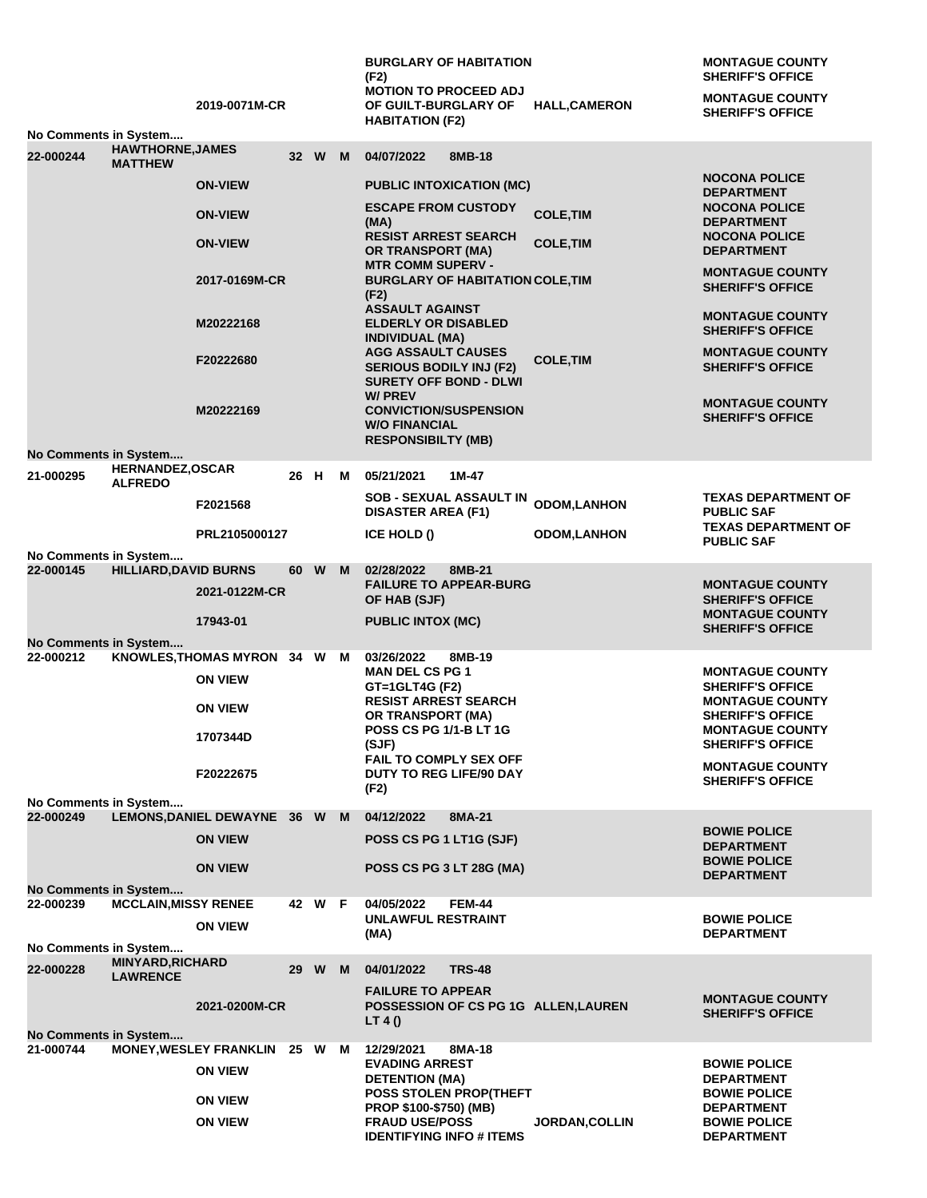|                                                                                             |                                            |                                                 |      |        |        | <b>BURGLARY OF HABITATION</b><br>(F2)                                                                         |                       | <b>MONTAGUE COUNTY</b><br><b>SHERIFF'S OFFICE</b> |
|---------------------------------------------------------------------------------------------|--------------------------------------------|-------------------------------------------------|------|--------|--------|---------------------------------------------------------------------------------------------------------------|-----------------------|---------------------------------------------------|
|                                                                                             |                                            | 2019-0071M-CR                                   |      |        |        | <b>MOTION TO PROCEED ADJ</b><br>OF GUILT-BURGLARY OF                                                          | <b>HALL,CAMERON</b>   | <b>MONTAGUE COUNTY</b><br><b>SHERIFF'S OFFICE</b> |
| No Comments in System                                                                       |                                            |                                                 |      |        |        | <b>HABITATION (F2)</b>                                                                                        |                       |                                                   |
| 22-000244                                                                                   | <b>HAWTHORNE, JAMES</b><br><b>MATTHEW</b>  |                                                 |      | 32 W M |        | 8MB-18<br>04/07/2022                                                                                          |                       |                                                   |
|                                                                                             |                                            | <b>ON-VIEW</b>                                  |      |        |        | <b>PUBLIC INTOXICATION (MC)</b>                                                                               |                       | <b>NOCONA POLICE</b><br><b>DEPARTMENT</b>         |
|                                                                                             |                                            | <b>ON-VIEW</b>                                  |      |        |        | <b>ESCAPE FROM CUSTODY</b><br>(MA)                                                                            | <b>COLE, TIM</b>      | <b>NOCONA POLICE</b><br><b>DEPARTMENT</b>         |
|                                                                                             |                                            | <b>ON-VIEW</b>                                  |      |        |        | <b>RESIST ARREST SEARCH</b><br>OR TRANSPORT (MA)<br><b>MTR COMM SUPERV -</b>                                  | <b>COLE, TIM</b>      | <b>NOCONA POLICE</b><br><b>DEPARTMENT</b>         |
|                                                                                             |                                            | 2017-0169M-CR                                   |      |        |        | <b>BURGLARY OF HABITATION COLE, TIM</b><br>(F2)<br><b>ASSAULT AGAINST</b>                                     |                       | <b>MONTAGUE COUNTY</b><br><b>SHERIFF'S OFFICE</b> |
|                                                                                             |                                            | M20222168                                       |      |        |        | <b>ELDERLY OR DISABLED</b><br><b>INDIVIDUAL (MA)</b>                                                          |                       | <b>MONTAGUE COUNTY</b><br><b>SHERIFF'S OFFICE</b> |
|                                                                                             |                                            | F20222680                                       |      |        |        | <b>AGG ASSAULT CAUSES</b><br><b>SERIOUS BODILY INJ (F2)</b><br><b>SURETY OFF BOND - DLWI</b><br><b>W/PREV</b> | <b>COLE, TIM</b>      | <b>MONTAGUE COUNTY</b><br><b>SHERIFF'S OFFICE</b> |
|                                                                                             |                                            | M20222169                                       |      |        |        | <b>CONVICTION/SUSPENSION</b><br><b>W/O FINANCIAL</b><br><b>RESPONSIBILTY (MB)</b>                             |                       | <b>MONTAGUE COUNTY</b><br><b>SHERIFF'S OFFICE</b> |
| <b>No Comments in System</b>                                                                |                                            |                                                 |      |        |        |                                                                                                               |                       |                                                   |
| 21-000295                                                                                   | <b>HERNANDEZ, OSCAR</b><br><b>ALFREDO</b>  |                                                 | 26 H |        | м      | 05/21/2021<br>1M-47                                                                                           |                       |                                                   |
|                                                                                             |                                            | F2021568                                        |      |        |        | <b>SOB - SEXUAL ASSAULT IN</b><br><b>DISASTER AREA (F1)</b>                                                   | <b>ODOM,LANHON</b>    | <b>TEXAS DEPARTMENT OF</b><br><b>PUBLIC SAF</b>   |
|                                                                                             |                                            | PRL2105000127                                   |      |        |        | <b>ICE HOLD ()</b>                                                                                            | <b>ODOM,LANHON</b>    | <b>TEXAS DEPARTMENT OF</b><br><b>PUBLIC SAF</b>   |
| No Comments in System<br>22-000145                                                          | <b>HILLIARD, DAVID BURNS</b>               |                                                 |      | 60 W M |        | 02/28/2022<br>8MB-21                                                                                          |                       |                                                   |
|                                                                                             |                                            | 2021-0122M-CR                                   |      |        |        | <b>FAILURE TO APPEAR-BURG</b><br>OF HAB (SJF)                                                                 |                       | <b>MONTAGUE COUNTY</b><br><b>SHERIFF'S OFFICE</b> |
|                                                                                             |                                            | 17943-01                                        |      |        |        | <b>PUBLIC INTOX (MC)</b>                                                                                      |                       | <b>MONTAGUE COUNTY</b><br><b>SHERIFF'S OFFICE</b> |
| <b>No Comments in System</b><br>22-000212                                                   |                                            | KNOWLES, THOMAS MYRON 34 W M                    |      |        |        | 03/26/2022<br>8MB-19                                                                                          |                       |                                                   |
|                                                                                             |                                            | <b>ON VIEW</b>                                  |      |        |        | <b>MAN DEL CS PG 1</b><br>GT=1GLT4G (F2)                                                                      |                       | <b>MONTAGUE COUNTY</b><br><b>SHERIFF'S OFFICE</b> |
|                                                                                             |                                            | <b>ON VIEW</b>                                  |      |        |        | <b>RESIST ARREST SEARCH</b><br>OR TRANSPORT (MA)                                                              |                       | <b>MONTAGUE COUNTY</b><br><b>SHERIFF'S OFFICE</b> |
|                                                                                             |                                            | 1707344D                                        |      |        |        | POSS CS PG 1/1-B LT 1G<br>(SJF)<br><b>FAIL TO COMPLY SEX OFF</b>                                              |                       | <b>MONTAGUE COUNTY</b><br><b>SHERIFF'S OFFICE</b> |
|                                                                                             |                                            | F20222675                                       |      |        |        | <b>DUTY TO REG LIFE/90 DAY</b><br>(F2)                                                                        |                       | <b>MONTAGUE COUNTY</b><br><b>SHERIFF'S OFFICE</b> |
| No Comments in System                                                                       |                                            |                                                 |      |        |        |                                                                                                               |                       |                                                   |
| 22-000249                                                                                   |                                            | LEMONS, DANIEL DEWAYNE 36 W M<br><b>ON VIEW</b> |      |        |        | 04/12/2022<br>8MA-21<br>POSS CS PG 1 LT1G (SJF)                                                               |                       | <b>BOWIE POLICE</b><br><b>DEPARTMENT</b>          |
|                                                                                             |                                            | <b>ON VIEW</b>                                  |      |        |        | POSS CS PG 3 LT 28G (MA)                                                                                      |                       | <b>BOWIE POLICE</b><br><b>DEPARTMENT</b>          |
| No Comments in System<br>22-000239                                                          | <b>MCCLAIN, MISSY RENEE</b>                |                                                 |      | 42 W F |        | 04/05/2022<br><b>FEM-44</b>                                                                                   |                       |                                                   |
|                                                                                             |                                            | <b>ON VIEW</b>                                  |      |        |        | <b>UNLAWFUL RESTRAINT</b><br>(MA)                                                                             |                       | <b>BOWIE POLICE</b><br><b>DEPARTMENT</b>          |
| No Comments in System                                                                       |                                            |                                                 |      |        |        |                                                                                                               |                       |                                                   |
| 22-000228                                                                                   | <b>MINYARD, RICHARD</b><br><b>LAWRENCE</b> |                                                 |      |        | 29 W M | 04/01/2022<br><b>TRS-48</b>                                                                                   |                       |                                                   |
|                                                                                             |                                            | 2021-0200M-CR                                   |      |        |        | <b>FAILURE TO APPEAR</b><br>POSSESSION OF CS PG 1G ALLEN, LAUREN<br>LT 4 $()$                                 |                       | <b>MONTAGUE COUNTY</b><br><b>SHERIFF'S OFFICE</b> |
| No Comments in System<br>MONEY, WESLEY FRANKLIN 25 W M<br>21-000744<br>12/29/2021<br>8MA-18 |                                            |                                                 |      |        |        |                                                                                                               |                       |                                                   |
|                                                                                             |                                            | <b>ON VIEW</b>                                  |      |        |        | <b>EVADING ARREST</b><br><b>DETENTION (MA)</b>                                                                |                       | <b>BOWIE POLICE</b><br><b>DEPARTMENT</b>          |
|                                                                                             |                                            | <b>ON VIEW</b>                                  |      |        |        | <b>POSS STOLEN PROP(THEFT</b><br>PROP \$100-\$750) (MB)                                                       |                       | <b>BOWIE POLICE</b><br><b>DEPARTMENT</b>          |
|                                                                                             |                                            | <b>ON VIEW</b>                                  |      |        |        | <b>FRAUD USE/POSS</b><br><b>IDENTIFYING INFO # ITEMS</b>                                                      | <b>JORDAN, COLLIN</b> | <b>BOWIE POLICE</b><br><b>DEPARTMENT</b>          |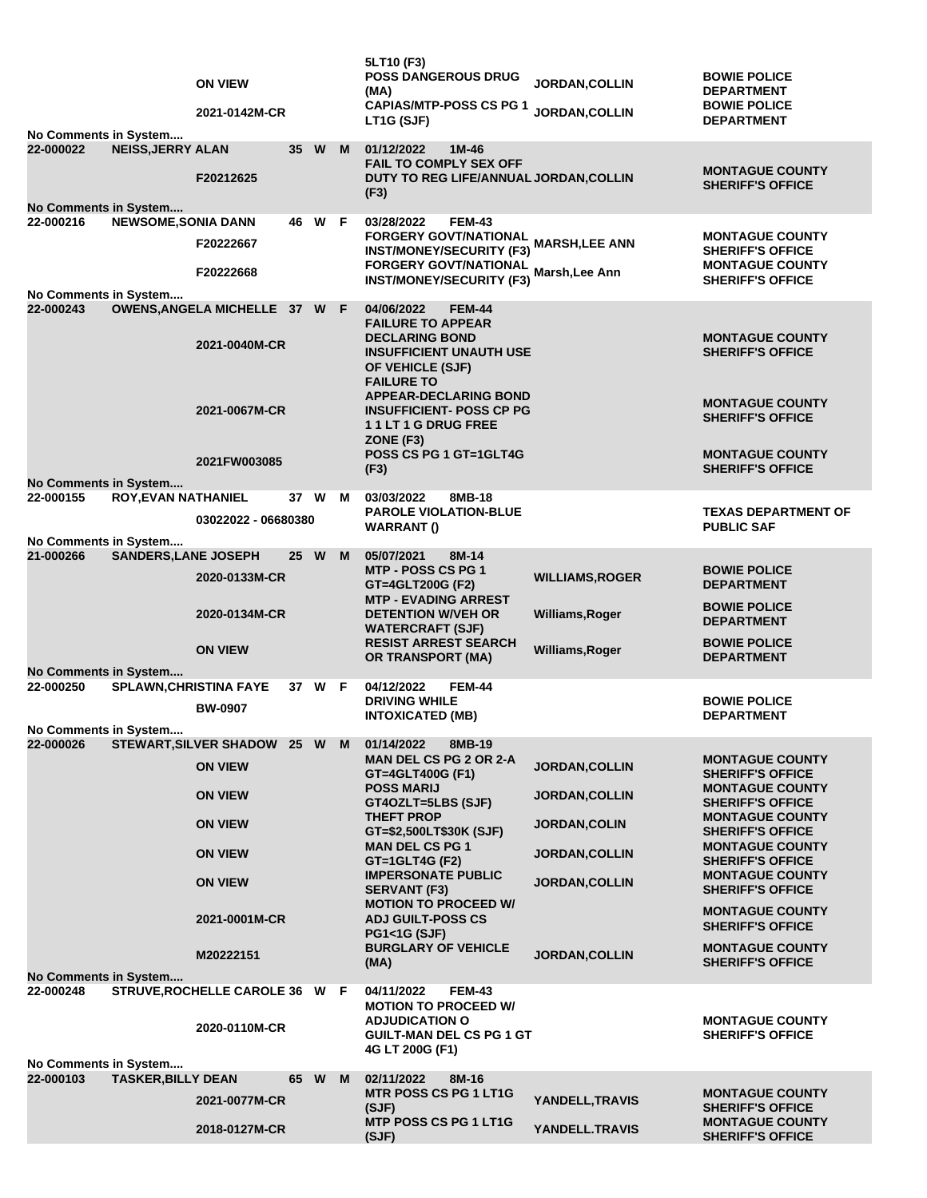|                                           |                               | <b>ON VIEW</b><br>2021-0142M-CR                |      |        |   | 5LT10 (F3)<br><b>POSS DANGEROUS DRUG</b><br>(MA)<br><b>CAPIAS/MTP-POSS CS PG 1</b><br>LT1G (SJF)                                                            | <b>JORDAN, COLLIN</b><br><b>JORDAN, COLLIN</b> | <b>BOWIE POLICE</b><br><b>DEPARTMENT</b><br><b>BOWIE POLICE</b><br><b>DEPARTMENT</b> |  |  |
|-------------------------------------------|-------------------------------|------------------------------------------------|------|--------|---|-------------------------------------------------------------------------------------------------------------------------------------------------------------|------------------------------------------------|--------------------------------------------------------------------------------------|--|--|
| No Comments in System                     |                               |                                                |      |        |   |                                                                                                                                                             |                                                |                                                                                      |  |  |
| 22-000022                                 | <b>NEISS, JERRY ALAN</b>      | F20212625                                      |      | 35 W M |   | 01/12/2022<br>$1M-46$<br><b>FAIL TO COMPLY SEX OFF</b><br>DUTY TO REG LIFE/ANNUAL JORDAN, COLLIN<br>(F3)                                                    |                                                | <b>MONTAGUE COUNTY</b><br><b>SHERIFF'S OFFICE</b>                                    |  |  |
| <b>No Comments in System</b><br>22-000216 | NEWSOME, SONIA DANN           | F20222667<br>F20222668                         |      | 46 W F |   | 03/28/2022<br><b>FEM-43</b><br><b>FORGERY GOVT/NATIONAL</b><br><b>INST/MONEY/SECURITY (F3)</b><br>FORGERY GOVT/NATIONAL                                     | <b>MARSH,LEE ANN</b><br>Marsh, Lee Ann         | <b>MONTAGUE COUNTY</b><br><b>SHERIFF'S OFFICE</b><br><b>MONTAGUE COUNTY</b>          |  |  |
|                                           |                               |                                                |      |        |   | <b>INST/MONEY/SECURITY (F3)</b>                                                                                                                             |                                                | <b>SHERIFF'S OFFICE</b>                                                              |  |  |
| No Comments in System<br>22-000243        |                               | OWENS, ANGELA MICHELLE 37 W F<br>2021-0040M-CR |      |        |   | 04/06/2022<br><b>FEM-44</b><br><b>FAILURE TO APPEAR</b><br><b>DECLARING BOND</b><br><b>INSUFFICIENT UNAUTH USE</b><br>OF VEHICLE (SJF)<br><b>FAILURE TO</b> |                                                | <b>MONTAGUE COUNTY</b><br><b>SHERIFF'S OFFICE</b>                                    |  |  |
|                                           |                               | 2021-0067M-CR                                  |      |        |   | <b>APPEAR-DECLARING BOND</b><br><b>INSUFFICIENT- POSS CP PG</b><br>11LT1GDRUGFREE<br>ZONE (F3)                                                              |                                                | <b>MONTAGUE COUNTY</b><br><b>SHERIFF'S OFFICE</b>                                    |  |  |
|                                           |                               | 2021FW003085                                   |      |        |   | POSS CS PG 1 GT=1GLT4G<br>(F3)                                                                                                                              |                                                | <b>MONTAGUE COUNTY</b><br><b>SHERIFF'S OFFICE</b>                                    |  |  |
| <b>No Comments in System</b>              |                               |                                                |      |        |   |                                                                                                                                                             |                                                |                                                                                      |  |  |
| 22-000155<br>No Comments in System        | <b>ROY, EVAN NATHANIEL</b>    | 03022022 - 06680380                            |      | 37 W   | M | 03/03/2022<br>8MB-18<br><b>PAROLE VIOLATION-BLUE</b><br><b>WARRANT()</b>                                                                                    |                                                | <b>TEXAS DEPARTMENT OF</b><br><b>PUBLIC SAF</b>                                      |  |  |
| 21-000266                                 | <b>SANDERS, LANE JOSEPH</b>   |                                                | 25 W |        | M | 05/07/2021<br>$8M-14$                                                                                                                                       |                                                |                                                                                      |  |  |
|                                           |                               | 2020-0133M-CR                                  |      |        |   | <b>MTP - POSS CS PG 1</b><br>GT=4GLT200G (F2)<br><b>MTP - EVADING ARREST</b>                                                                                | <b>WILLIAMS, ROGER</b>                         | <b>BOWIE POLICE</b><br><b>DEPARTMENT</b>                                             |  |  |
|                                           |                               | 2020-0134M-CR                                  |      |        |   | <b>DETENTION W/VEH OR</b><br><b>WATERCRAFT (SJF)</b><br><b>RESIST ARREST SEARCH</b>                                                                         | Williams, Roger                                | <b>BOWIE POLICE</b><br><b>DEPARTMENT</b><br><b>BOWIE POLICE</b>                      |  |  |
|                                           |                               | <b>ON VIEW</b>                                 |      |        |   | <b>OR TRANSPORT (MA)</b>                                                                                                                                    | Williams, Roger                                | <b>DEPARTMENT</b>                                                                    |  |  |
| <b>No Comments in System</b><br>22-000250 | <b>SPLAWN, CHRISTINA FAYE</b> |                                                |      | 37 W F |   | 04/12/2022<br><b>FEM-44</b>                                                                                                                                 |                                                |                                                                                      |  |  |
|                                           |                               | <b>BW-0907</b>                                 |      |        |   | <b>DRIVING WHILE</b><br><b>INTOXICATED (MB)</b>                                                                                                             |                                                | <b>BOWIE POLICE</b><br><b>DEPARTMENT</b>                                             |  |  |
| No Comments in System<br>22-000026        |                               | STEWART, SILVER SHADOW 25 W M                  |      |        |   | 8MB-19<br>01/14/2022                                                                                                                                        |                                                |                                                                                      |  |  |
|                                           |                               | <b>ON VIEW</b>                                 |      |        |   | <b>MAN DEL CS PG 2 OR 2-A</b><br>GT=4GLT400G (F1)<br><b>POSS MARIJ</b>                                                                                      | <b>JORDAN, COLLIN</b>                          | <b>MONTAGUE COUNTY</b><br><b>SHERIFF'S OFFICE</b><br><b>MONTAGUE COUNTY</b>          |  |  |
|                                           |                               | <b>ON VIEW</b><br><b>ON VIEW</b>               |      |        |   | GT4OZLT=5LBS (SJF)<br><b>THEFT PROP</b>                                                                                                                     | <b>JORDAN,COLLIN</b><br><b>JORDAN, COLIN</b>   | <b>SHERIFF'S OFFICE</b><br><b>MONTAGUE COUNTY</b><br><b>SHERIFF'S OFFICE</b>         |  |  |
|                                           |                               | <b>ON VIEW</b>                                 |      |        |   | GT=\$2,500LT\$30K (SJF)<br><b>MAN DEL CS PG 1</b><br>$GT = 1$ GLT4G (F2)                                                                                    | <b>JORDAN, COLLIN</b>                          | <b>MONTAGUE COUNTY</b><br><b>SHERIFF'S OFFICE</b>                                    |  |  |
|                                           |                               | <b>ON VIEW</b>                                 |      |        |   | <b>IMPERSONATE PUBLIC</b><br><b>SERVANT (F3)</b>                                                                                                            | <b>JORDAN, COLLIN</b>                          | <b>MONTAGUE COUNTY</b><br><b>SHERIFF'S OFFICE</b>                                    |  |  |
|                                           |                               | 2021-0001M-CR                                  |      |        |   | <b>MOTION TO PROCEED W/</b><br><b>ADJ GUILT-POSS CS</b><br><b>PG1&lt;1G (SJF)</b>                                                                           |                                                | <b>MONTAGUE COUNTY</b><br><b>SHERIFF'S OFFICE</b>                                    |  |  |
|                                           |                               | M20222151                                      |      |        |   | <b>BURGLARY OF VEHICLE</b><br>(MA)                                                                                                                          | <b>JORDAN, COLLIN</b>                          | <b>MONTAGUE COUNTY</b><br><b>SHERIFF'S OFFICE</b>                                    |  |  |
| <b>No Comments in System</b>              |                               |                                                |      |        |   |                                                                                                                                                             |                                                |                                                                                      |  |  |
| 22-000248                                 |                               | STRUVE, ROCHELLE CAROLE 36 W F                 |      |        |   | <b>FEM-43</b><br>04/11/2022<br><b>MOTION TO PROCEED W/</b><br><b>ADJUDICATION O</b>                                                                         |                                                | <b>MONTAGUE COUNTY</b>                                                               |  |  |
|                                           |                               | 2020-0110M-CR                                  |      |        |   | <b>GUILT-MAN DEL CS PG 1 GT</b><br>4G LT 200G (F1)                                                                                                          |                                                | <b>SHERIFF'S OFFICE</b>                                                              |  |  |
| No Comments in System                     |                               |                                                |      |        |   |                                                                                                                                                             |                                                |                                                                                      |  |  |
| 22-000103                                 | <b>TASKER, BILLY DEAN</b>     | 2021-0077M-CR                                  |      | 65 W M |   | 02/11/2022<br>8M-16<br><b>MTR POSS CS PG 1 LT1G</b><br>(SJF)                                                                                                | YANDELL, TRAVIS                                | <b>MONTAGUE COUNTY</b><br><b>SHERIFF'S OFFICE</b>                                    |  |  |
|                                           |                               | 2018-0127M-CR                                  |      |        |   | <b>MTP POSS CS PG 1 LT1G</b><br>(SJF)                                                                                                                       | YANDELL.TRAVIS                                 | <b>MONTAGUE COUNTY</b><br><b>SHERIFF'S OFFICE</b>                                    |  |  |